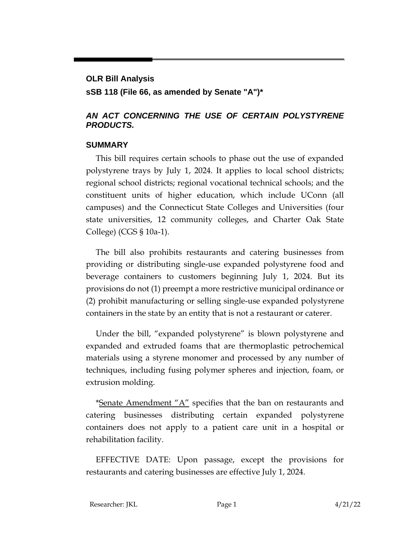### **OLR Bill Analysis**

**sSB 118 (File 66, as amended by Senate "A")\***

### *AN ACT CONCERNING THE USE OF CERTAIN POLYSTYRENE PRODUCTS.*

#### **SUMMARY**

This bill requires certain schools to phase out the use of expanded polystyrene trays by July 1, 2024. It applies to local school districts; regional school districts; regional vocational technical schools; and the constituent units of higher education, which include UConn (all campuses) and the Connecticut State Colleges and Universities (four state universities, 12 community colleges, and Charter Oak State College) (CGS § 10a-1).

The bill also prohibits restaurants and catering businesses from providing or distributing single-use expanded polystyrene food and beverage containers to customers beginning July 1, 2024. But its provisions do not (1) preempt a more restrictive municipal ordinance or (2) prohibit manufacturing or selling single-use expanded polystyrene containers in the state by an entity that is not a restaurant or caterer.

Under the bill, "expanded polystyrene" is blown polystyrene and expanded and extruded foams that are thermoplastic petrochemical materials using a styrene monomer and processed by any number of techniques, including fusing polymer spheres and injection, foam, or extrusion molding.

\*Senate Amendment " $A$ " specifies that the ban on restaurants and catering businesses distributing certain expanded polystyrene containers does not apply to a patient care unit in a hospital or rehabilitation facility.

EFFECTIVE DATE: Upon passage, except the provisions for restaurants and catering businesses are effective July 1, 2024.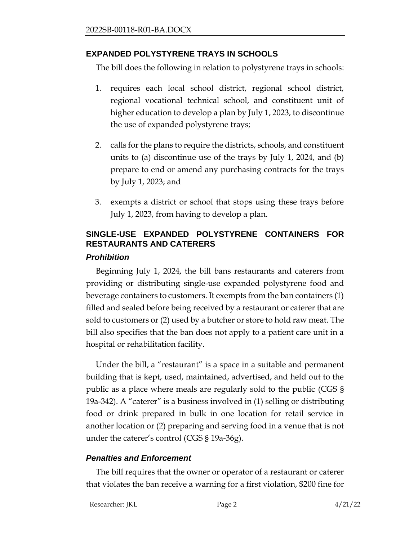### **EXPANDED POLYSTYRENE TRAYS IN SCHOOLS**

The bill does the following in relation to polystyrene trays in schools:

- 1. requires each local school district, regional school district, regional vocational technical school, and constituent unit of higher education to develop a plan by July 1, 2023, to discontinue the use of expanded polystyrene trays;
- 2. calls for the plans to require the districts, schools, and constituent units to (a) discontinue use of the trays by July 1, 2024, and (b) prepare to end or amend any purchasing contracts for the trays by July 1, 2023; and
- 3. exempts a district or school that stops using these trays before July 1, 2023, from having to develop a plan.

# **SINGLE-USE EXPANDED POLYSTYRENE CONTAINERS FOR RESTAURANTS AND CATERERS**

### *Prohibition*

Beginning July 1, 2024, the bill bans restaurants and caterers from providing or distributing single-use expanded polystyrene food and beverage containers to customers. It exempts from the ban containers (1) filled and sealed before being received by a restaurant or caterer that are sold to customers or (2) used by a butcher or store to hold raw meat. The bill also specifies that the ban does not apply to a patient care unit in a hospital or rehabilitation facility.

Under the bill, a "restaurant" is a space in a suitable and permanent building that is kept, used, maintained, advertised, and held out to the public as a place where meals are regularly sold to the public (CGS § 19a-342). A "caterer" is a business involved in (1) selling or distributing food or drink prepared in bulk in one location for retail service in another location or (2) preparing and serving food in a venue that is not under the caterer's control (CGS § 19a-36g).

## *Penalties and Enforcement*

The bill requires that the owner or operator of a restaurant or caterer that violates the ban receive a warning for a first violation, \$200 fine for

Researcher: JKL Page 2 4/21/22